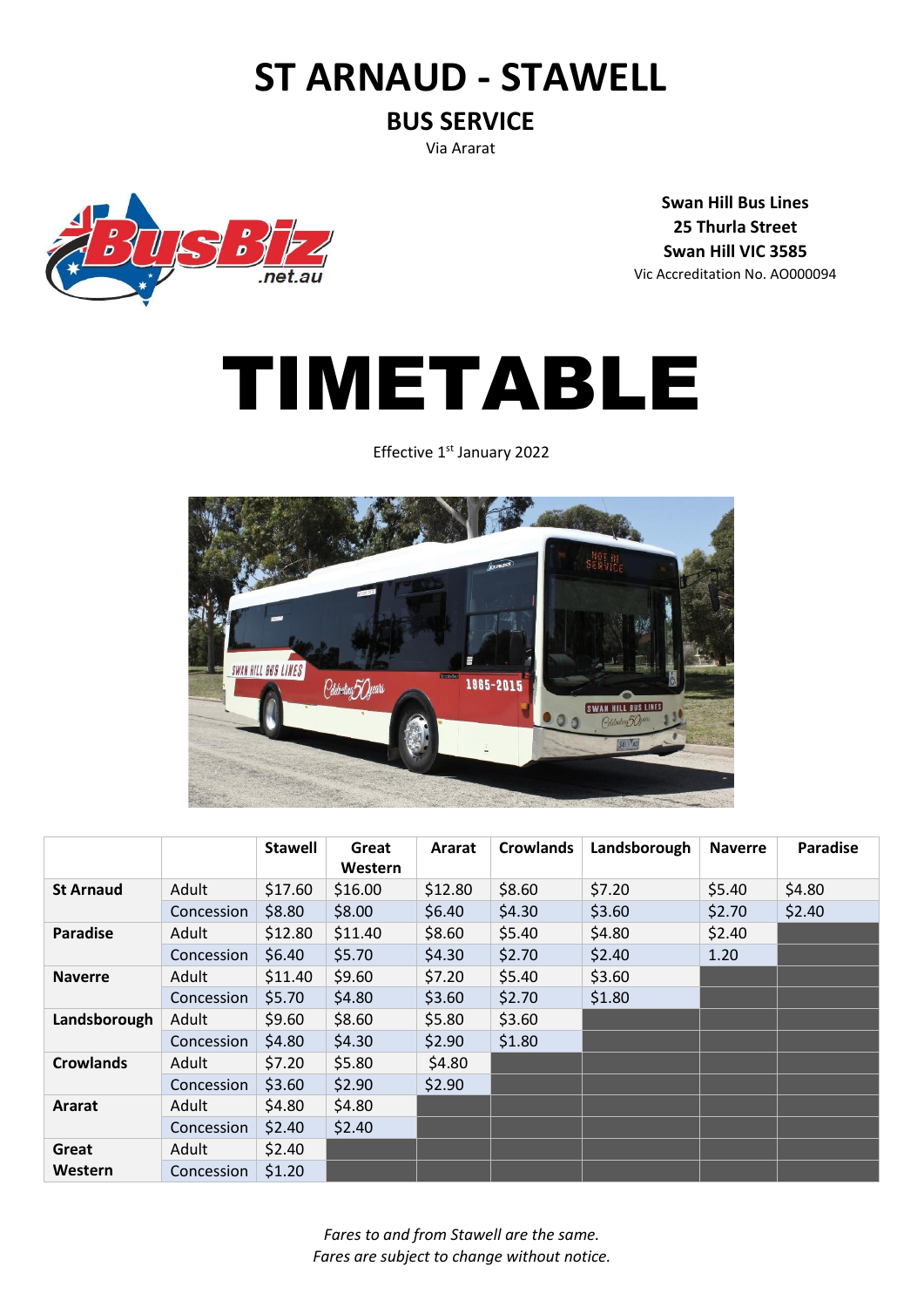## **ST ARNAUD - STAWELL**

#### **BUS SERVICE**

Via Ararat

 $\overline{D}$  $neta$ 

**Swan Hill Bus Lines 25 Thurla Street Swan Hill VIC 3585** Vic Accreditation No. AO000094

# TIMETABLE

Effective 1<sup>st</sup> January 2022



|                  |            | <b>Stawell</b> | Great<br>Western | Ararat  | <b>Crowlands</b> | Landsborough | <b>Naverre</b> | <b>Paradise</b> |
|------------------|------------|----------------|------------------|---------|------------------|--------------|----------------|-----------------|
| <b>St Arnaud</b> | Adult      | \$17.60        | \$16.00          | \$12.80 | \$8.60           | \$7.20       | \$5.40         | \$4.80          |
|                  | Concession | \$8.80         | \$8.00           | \$6.40  | \$4.30           | \$3.60       | \$2.70         | \$2.40          |
| <b>Paradise</b>  | Adult      | \$12.80        | \$11.40          | \$8.60  | \$5.40           | \$4.80       | \$2.40         |                 |
|                  | Concession | \$6.40         | \$5.70           | \$4.30  | \$2.70           | \$2.40       | 1.20           |                 |
| <b>Naverre</b>   | Adult      | \$11.40        | \$9.60           | \$7.20  | \$5.40           | \$3.60       |                |                 |
|                  | Concession | \$5.70         | \$4.80           | \$3.60  | \$2.70           | \$1.80       |                |                 |
| Landsborough     | Adult      | \$9.60         | \$8.60           | \$5.80  | \$3.60           |              |                |                 |
|                  | Concession | \$4.80         | \$4.30           | \$2.90  | \$1.80           |              |                |                 |
| <b>Crowlands</b> | Adult      | \$7.20         | \$5.80           | \$4.80  |                  |              |                |                 |
|                  | Concession | \$3.60         | \$2.90           | \$2.90  |                  |              |                |                 |
| Ararat           | Adult      | \$4.80         | \$4.80           |         |                  |              |                |                 |
|                  | Concession | \$2.40         | \$2.40           |         |                  |              |                |                 |
| Great            | Adult      | \$2.40         |                  |         |                  |              |                |                 |
| Western          | Concession | \$1.20         |                  |         |                  |              |                |                 |

*Fares to and from Stawell are the same. Fares are subject to change without notice.*